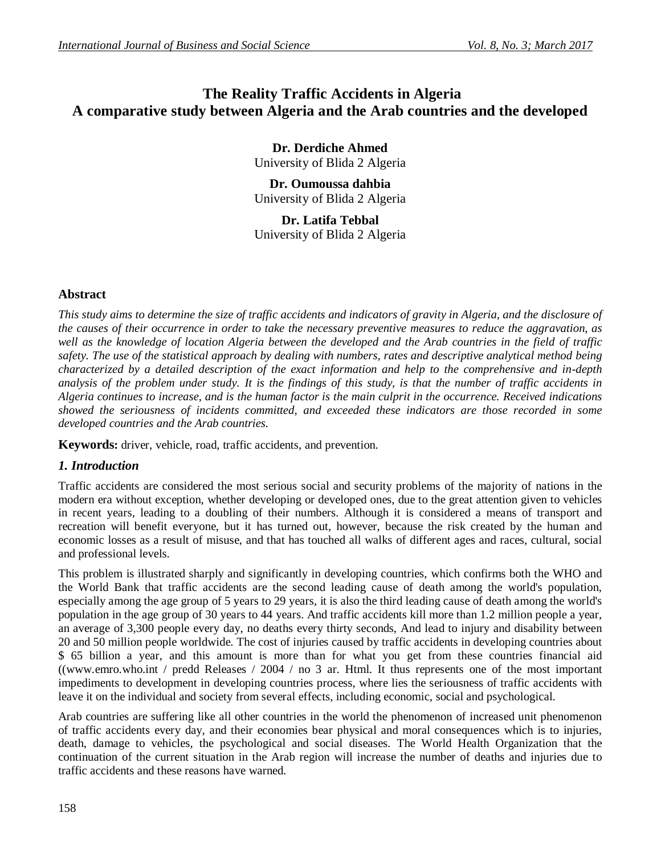# **The Reality Traffic Accidents in Algeria A comparative study between Algeria and the Arab countries and the developed**

**Dr. Derdiche Ahmed** University of Blida 2 Algeria

**Dr. Oumoussa dahbia** University of Blida 2 Algeria

**Dr. Latifa Tebbal** University of Blida 2 Algeria

## **Abstract**

*This study aims to determine the size of traffic accidents and indicators of gravity in Algeria, and the disclosure of the causes of their occurrence in order to take the necessary preventive measures to reduce the aggravation, as well as the knowledge of location Algeria between the developed and the Arab countries in the field of traffic safety. The use of the statistical approach by dealing with numbers, rates and descriptive analytical method being characterized by a detailed description of the exact information and help to the comprehensive and in-depth analysis of the problem under study. It is the findings of this study, is that the number of traffic accidents in Algeria continues to increase, and is the human factor is the main culprit in the occurrence. Received indications showed the seriousness of incidents committed, and exceeded these indicators are those recorded in some developed countries and the Arab countries.*

**Keywords:** driver, vehicle, road, traffic accidents, and prevention.

## *1. Introduction*

Traffic accidents are considered the most serious social and security problems of the majority of nations in the modern era without exception, whether developing or developed ones, due to the great attention given to vehicles in recent years, leading to a doubling of their numbers. Although it is considered a means of transport and recreation will benefit everyone, but it has turned out, however, because the risk created by the human and economic losses as a result of misuse, and that has touched all walks of different ages and races, cultural, social and professional levels.

This problem is illustrated sharply and significantly in developing countries, which confirms both the WHO and the World Bank that traffic accidents are the second leading cause of death among the world's population, especially among the age group of 5 years to 29 years, it is also the third leading cause of death among the world's population in the age group of 30 years to 44 years. And traffic accidents kill more than 1.2 million people a year, an average of 3,300 people every day, no deaths every thirty seconds, And lead to injury and disability between 20 and 50 million people worldwide. The cost of injuries caused by traffic accidents in developing countries about \$ 65 billion a year, and this amount is more than for what you get from these countries financial aid ((www.emro.who.int / predd Releases / 2004 / no 3 ar. Html. It thus represents one of the most important impediments to development in developing countries process, where lies the seriousness of traffic accidents with leave it on the individual and society from several effects, including economic, social and psychological.

Arab countries are suffering like all other countries in the world the phenomenon of increased unit phenomenon of traffic accidents every day, and their economies bear physical and moral consequences which is to injuries, death, damage to vehicles, the psychological and social diseases. The World Health Organization that the continuation of the current situation in the Arab region will increase the number of deaths and injuries due to traffic accidents and these reasons have warned.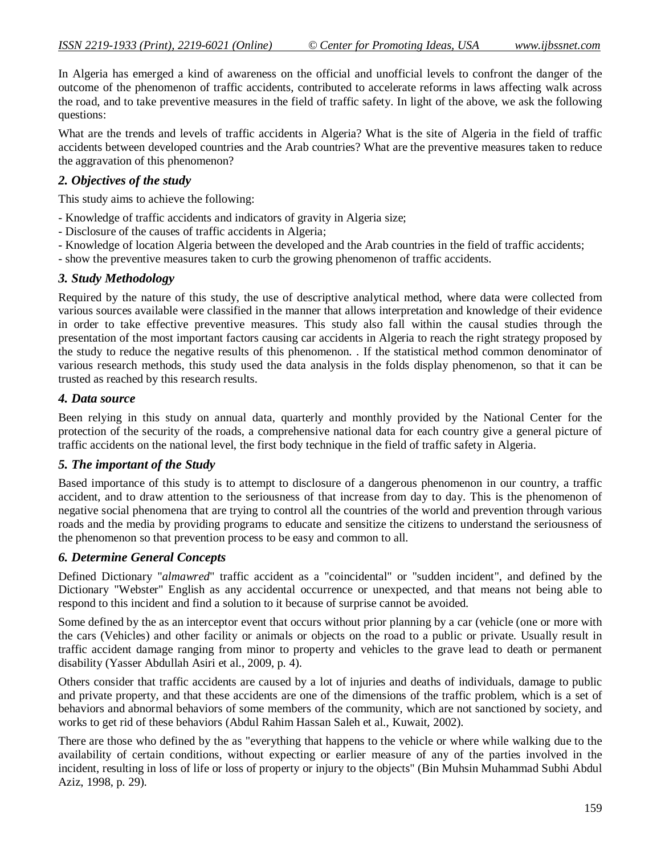In Algeria has emerged a kind of awareness on the official and unofficial levels to confront the danger of the outcome of the phenomenon of traffic accidents, contributed to accelerate reforms in laws affecting walk across the road, and to take preventive measures in the field of traffic safety. In light of the above, we ask the following questions:

What are the trends and levels of traffic accidents in Algeria? What is the site of Algeria in the field of traffic accidents between developed countries and the Arab countries? What are the preventive measures taken to reduce the aggravation of this phenomenon?

### *2. Objectives of the study*

This study aims to achieve the following:

- Knowledge of traffic accidents and indicators of gravity in Algeria size;

- Disclosure of the causes of traffic accidents in Algeria;
- Knowledge of location Algeria between the developed and the Arab countries in the field of traffic accidents;

- show the preventive measures taken to curb the growing phenomenon of traffic accidents.

## *3. Study Methodology*

Required by the nature of this study, the use of descriptive analytical method, where data were collected from various sources available were classified in the manner that allows interpretation and knowledge of their evidence in order to take effective preventive measures. This study also fall within the causal studies through the presentation of the most important factors causing car accidents in Algeria to reach the right strategy proposed by the study to reduce the negative results of this phenomenon. . If the statistical method common denominator of various research methods, this study used the data analysis in the folds display phenomenon, so that it can be trusted as reached by this research results.

### *4. Data source*

Been relying in this study on annual data, quarterly and monthly provided by the National Center for the protection of the security of the roads, a comprehensive national data for each country give a general picture of traffic accidents on the national level, the first body technique in the field of traffic safety in Algeria.

### *5. The important of the Study*

Based importance of this study is to attempt to disclosure of a dangerous phenomenon in our country, a traffic accident, and to draw attention to the seriousness of that increase from day to day. This is the phenomenon of negative social phenomena that are trying to control all the countries of the world and prevention through various roads and the media by providing programs to educate and sensitize the citizens to understand the seriousness of the phenomenon so that prevention process to be easy and common to all.

### *6. Determine General Concepts*

Defined Dictionary "*almawred*" traffic accident as a "coincidental" or "sudden incident", and defined by the Dictionary "Webster" English as any accidental occurrence or unexpected, and that means not being able to respond to this incident and find a solution to it because of surprise cannot be avoided.

Some defined by the as an interceptor event that occurs without prior planning by a car (vehicle (one or more with the cars (Vehicles) and other facility or animals or objects on the road to a public or private. Usually result in traffic accident damage ranging from minor to property and vehicles to the grave lead to death or permanent disability (Yasser Abdullah Asiri et al., 2009, p. 4).

Others consider that traffic accidents are caused by a lot of injuries and deaths of individuals, damage to public and private property, and that these accidents are one of the dimensions of the traffic problem, which is a set of behaviors and abnormal behaviors of some members of the community, which are not sanctioned by society, and works to get rid of these behaviors (Abdul Rahim Hassan Saleh et al., Kuwait, 2002).

There are those who defined by the as "everything that happens to the vehicle or where while walking due to the availability of certain conditions, without expecting or earlier measure of any of the parties involved in the incident, resulting in loss of life or loss of property or injury to the objects" (Bin Muhsin Muhammad Subhi Abdul Aziz, 1998, p. 29).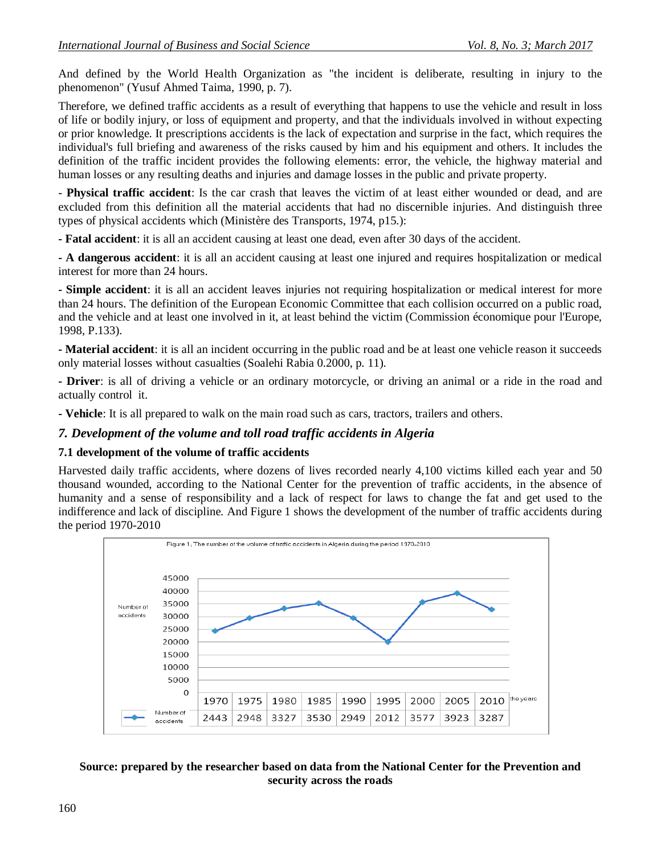And defined by the World Health Organization as "the incident is deliberate, resulting in injury to the phenomenon" (Yusuf Ahmed Taima, 1990, p. 7).

Therefore, we defined traffic accidents as a result of everything that happens to use the vehicle and result in loss of life or bodily injury, or loss of equipment and property, and that the individuals involved in without expecting or prior knowledge. It prescriptions accidents is the lack of expectation and surprise in the fact, which requires the individual's full briefing and awareness of the risks caused by him and his equipment and others. It includes the definition of the traffic incident provides the following elements: error, the vehicle, the highway material and human losses or any resulting deaths and injuries and damage losses in the public and private property.

- **Physical traffic accident**: Is the car crash that leaves the victim of at least either wounded or dead, and are excluded from this definition all the material accidents that had no discernible injuries. And distinguish three types of physical accidents which (Ministère des Transports, 1974, p15.):

**- Fatal accident**: it is all an accident causing at least one dead, even after 30 days of the accident.

**- A dangerous accident**: it is all an accident causing at least one injured and requires hospitalization or medical interest for more than 24 hours.

**- Simple accident**: it is all an accident leaves injuries not requiring hospitalization or medical interest for more than 24 hours. The definition of the European Economic Committee that each collision occurred on a public road, and the vehicle and at least one involved in it, at least behind the victim (Commission économique pour l'Europe, 1998, P.133).

**- Material accident**: it is all an incident occurring in the public road and be at least one vehicle reason it succeeds only material losses without casualties (Soalehi Rabia 0.2000, p. 11).

**- Driver**: is all of driving a vehicle or an ordinary motorcycle, or driving an animal or a ride in the road and actually control it.

**- Vehicle**: It is all prepared to walk on the main road such as cars, tractors, trailers and others.

#### *7. Development of the volume and toll road traffic accidents in Algeria*

#### **7.1 development of the volume of traffic accidents**

Harvested daily traffic accidents, where dozens of lives recorded nearly 4,100 victims killed each year and 50 thousand wounded, according to the National Center for the prevention of traffic accidents, in the absence of humanity and a sense of responsibility and a lack of respect for laws to change the fat and get used to the indifference and lack of discipline. And Figure 1 shows the development of the number of traffic accidents during the period 1970-2010



#### **Source: prepared by the researcher based on data from the National Center for the Prevention and security across the roads**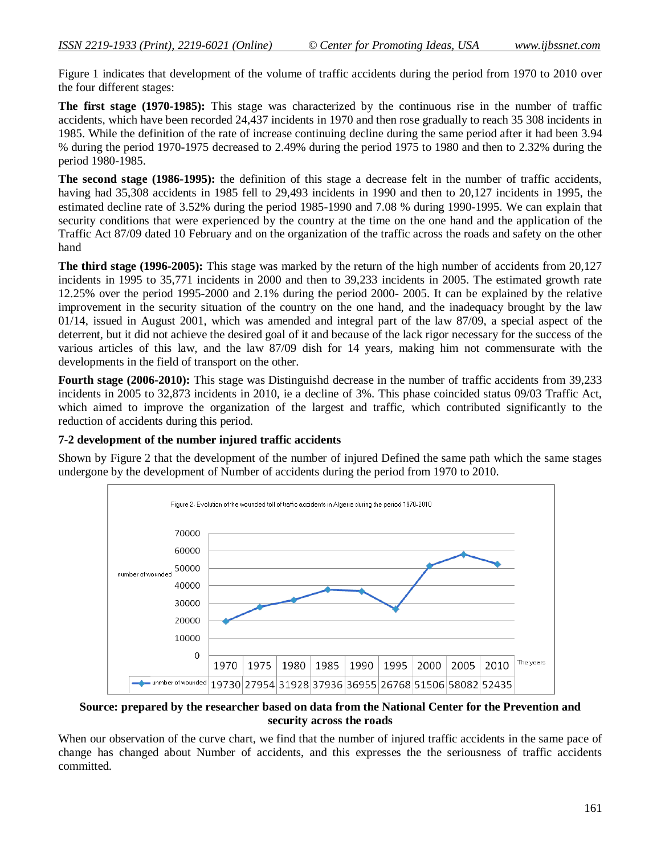Figure 1 indicates that development of the volume of traffic accidents during the period from 1970 to 2010 over the four different stages:

**The first stage (1970-1985):** This stage was characterized by the continuous rise in the number of traffic accidents, which have been recorded 24,437 incidents in 1970 and then rose gradually to reach 35 308 incidents in 1985. While the definition of the rate of increase continuing decline during the same period after it had been 3.94 % during the period 1970-1975 decreased to 2.49% during the period 1975 to 1980 and then to 2.32% during the period 1980-1985.

**The second stage (1986-1995):** the definition of this stage a decrease felt in the number of traffic accidents, having had 35,308 accidents in 1985 fell to 29,493 incidents in 1990 and then to 20,127 incidents in 1995, the estimated decline rate of 3.52% during the period 1985-1990 and 7.08 % during 1990-1995. We can explain that security conditions that were experienced by the country at the time on the one hand and the application of the Traffic Act 87/09 dated 10 February and on the organization of the traffic across the roads and safety on the other hand

**The third stage (1996-2005):** This stage was marked by the return of the high number of accidents from 20,127 incidents in 1995 to 35,771 incidents in 2000 and then to 39,233 incidents in 2005. The estimated growth rate 12.25% over the period 1995-2000 and 2.1% during the period 2000- 2005. It can be explained by the relative improvement in the security situation of the country on the one hand, and the inadequacy brought by the law 01/14, issued in August 2001, which was amended and integral part of the law 87/09, a special aspect of the deterrent, but it did not achieve the desired goal of it and because of the lack rigor necessary for the success of the various articles of this law, and the law 87/09 dish for 14 years, making him not commensurate with the developments in the field of transport on the other.

**Fourth stage (2006-2010):** This stage was Distinguishd decrease in the number of traffic accidents from 39,233 incidents in 2005 to 32,873 incidents in 2010, ie a decline of 3%. This phase coincided status 09/03 Traffic Act, which aimed to improve the organization of the largest and traffic, which contributed significantly to the reduction of accidents during this period.

### **7-2 development of the number injured traffic accidents**

Shown by Figure 2 that the development of the number of injured Defined the same path which the same stages undergone by the development of Number of accidents during the period from 1970 to 2010.



**Source: prepared by the researcher based on data from the National Center for the Prevention and security across the roads**

When our observation of the curve chart, we find that the number of injured traffic accidents in the same pace of change has changed about Number of accidents, and this expresses the the seriousness of traffic accidents committed.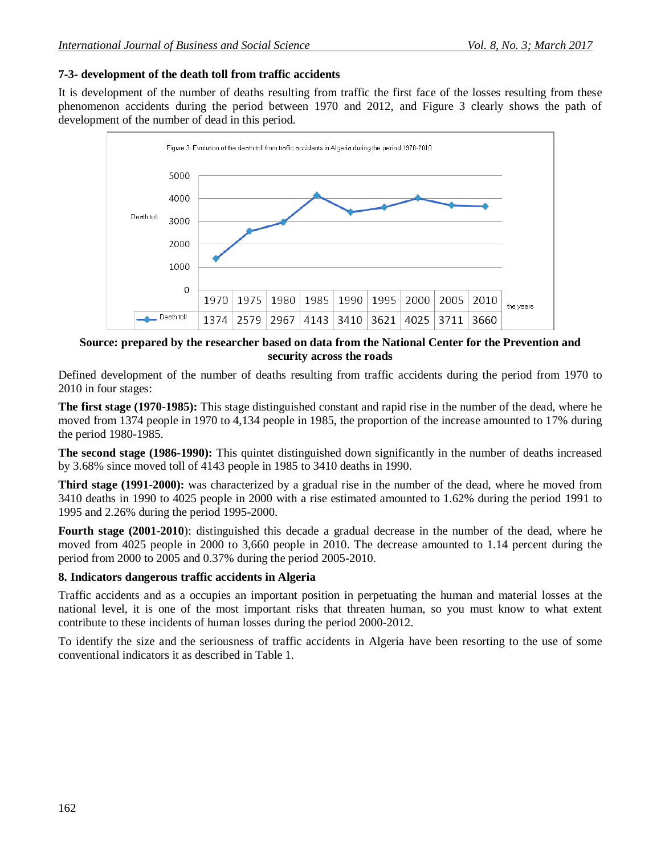## **7-3- development of the death toll from traffic accidents**

It is development of the number of deaths resulting from traffic the first face of the losses resulting from these phenomenon accidents during the period between 1970 and 2012, and Figure 3 clearly shows the path of development of the number of dead in this period.



### **Source: prepared by the researcher based on data from the National Center for the Prevention and security across the roads**

Defined development of the number of deaths resulting from traffic accidents during the period from 1970 to 2010 in four stages:

**The first stage (1970-1985):** This stage distinguished constant and rapid rise in the number of the dead, where he moved from 1374 people in 1970 to 4,134 people in 1985, the proportion of the increase amounted to 17% during the period 1980-1985.

**The second stage (1986-1990):** This quintet distinguished down significantly in the number of deaths increased by 3.68% since moved toll of 4143 people in 1985 to 3410 deaths in 1990.

**Third stage (1991-2000):** was characterized by a gradual rise in the number of the dead, where he moved from 3410 deaths in 1990 to 4025 people in 2000 with a rise estimated amounted to 1.62% during the period 1991 to 1995 and 2.26% during the period 1995-2000.

**Fourth stage (2001-2010**): distinguished this decade a gradual decrease in the number of the dead, where he moved from 4025 people in 2000 to 3,660 people in 2010. The decrease amounted to 1.14 percent during the period from 2000 to 2005 and 0.37% during the period 2005-2010.

## **8. Indicators dangerous traffic accidents in Algeria**

Traffic accidents and as a occupies an important position in perpetuating the human and material losses at the national level, it is one of the most important risks that threaten human, so you must know to what extent contribute to these incidents of human losses during the period 2000-2012.

To identify the size and the seriousness of traffic accidents in Algeria have been resorting to the use of some conventional indicators it as described in Table 1.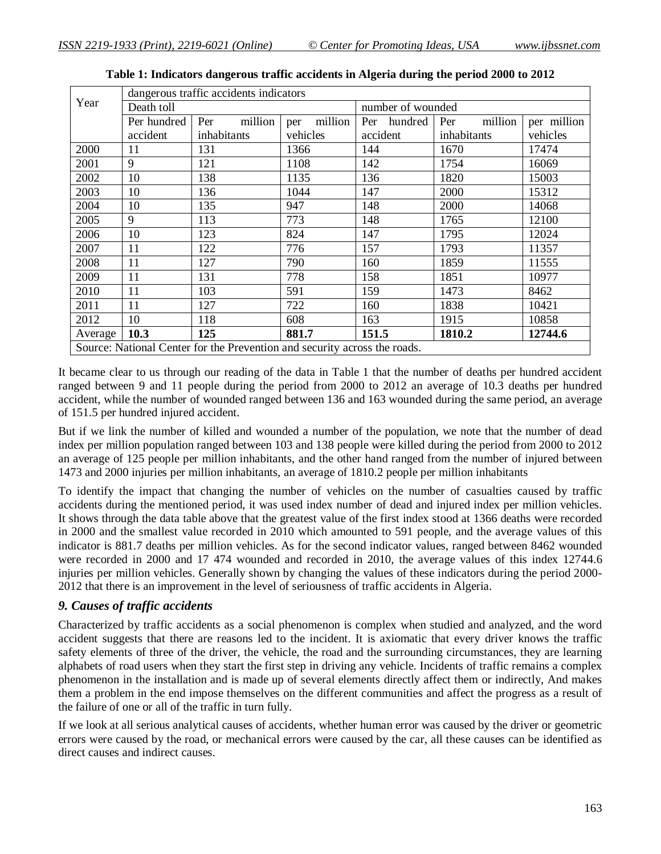|                                                                           | dangerous traffic accidents indicators |                |                |                   |                |             |  |
|---------------------------------------------------------------------------|----------------------------------------|----------------|----------------|-------------------|----------------|-------------|--|
| Year                                                                      | Death toll                             |                |                | number of wounded |                |             |  |
|                                                                           | Per hundred                            | Per<br>million | million<br>per | Per<br>hundred    | Per<br>million | per million |  |
|                                                                           | accident                               | inhabitants    | vehicles       | accident          | inhabitants    | vehicles    |  |
| 2000                                                                      | 11                                     | 131            | 1366           | 144               | 1670           | 17474       |  |
| 2001                                                                      | 9                                      | 121            | 1108           | 142               | 1754           | 16069       |  |
| 2002                                                                      | 10                                     | 138            | 1135           | 136               | 1820           | 15003       |  |
| 2003                                                                      | 10                                     | 136            | 1044           | 147               | 2000           | 15312       |  |
| 2004                                                                      | 10                                     | 135            | 947            | 148               | 2000           | 14068       |  |
| 2005                                                                      | 9                                      | 113            | 773            | 148               | 1765           | 12100       |  |
| 2006                                                                      | 10                                     | 123            | 824            | 147               | 1795           | 12024       |  |
| 2007                                                                      | 11                                     | 122            | 776            | 157               | 1793           | 11357       |  |
| 2008                                                                      | 11                                     | 127            | 790            | 160               | 1859           | 11555       |  |
| 2009                                                                      | 11                                     | 131            | 778            | 158               | 1851           | 10977       |  |
| 2010                                                                      | 11                                     | 103            | 591            | 159               | 1473           | 8462        |  |
| 2011                                                                      | 11                                     | 127            | 722            | 160               | 1838           | 10421       |  |
| 2012                                                                      | 10                                     | 118            | 608            | 163               | 1915           | 10858       |  |
| Average                                                                   | 10.3                                   | 125            | 881.7          | 151.5             | 1810.2         | 12744.6     |  |
| Source: National Center for the Prevention and security across the roads. |                                        |                |                |                   |                |             |  |

**Table 1: Indicators dangerous traffic accidents in Algeria during the period 2000 to 2012**

It became clear to us through our reading of the data in Table 1 that the number of deaths per hundred accident ranged between 9 and 11 people during the period from 2000 to 2012 an average of 10.3 deaths per hundred accident, while the number of wounded ranged between 136 and 163 wounded during the same period, an average of 151.5 per hundred injured accident.

But if we link the number of killed and wounded a number of the population, we note that the number of dead index per million population ranged between 103 and 138 people were killed during the period from 2000 to 2012 an average of 125 people per million inhabitants, and the other hand ranged from the number of injured between 1473 and 2000 injuries per million inhabitants, an average of 1810.2 people per million inhabitants

To identify the impact that changing the number of vehicles on the number of casualties caused by traffic accidents during the mentioned period, it was used index number of dead and injured index per million vehicles. It shows through the data table above that the greatest value of the first index stood at 1366 deaths were recorded in 2000 and the smallest value recorded in 2010 which amounted to 591 people, and the average values of this indicator is 881.7 deaths per million vehicles. As for the second indicator values, ranged between 8462 wounded were recorded in 2000 and 17 474 wounded and recorded in 2010, the average values of this index 12744.6 injuries per million vehicles. Generally shown by changing the values of these indicators during the period 2000- 2012 that there is an improvement in the level of seriousness of traffic accidents in Algeria.

### *9. Causes of traffic accidents*

Characterized by traffic accidents as a social phenomenon is complex when studied and analyzed, and the word accident suggests that there are reasons led to the incident. It is axiomatic that every driver knows the traffic safety elements of three of the driver, the vehicle, the road and the surrounding circumstances, they are learning alphabets of road users when they start the first step in driving any vehicle. Incidents of traffic remains a complex phenomenon in the installation and is made up of several elements directly affect them or indirectly, And makes them a problem in the end impose themselves on the different communities and affect the progress as a result of the failure of one or all of the traffic in turn fully.

If we look at all serious analytical causes of accidents, whether human error was caused by the driver or geometric errors were caused by the road, or mechanical errors were caused by the car, all these causes can be identified as direct causes and indirect causes.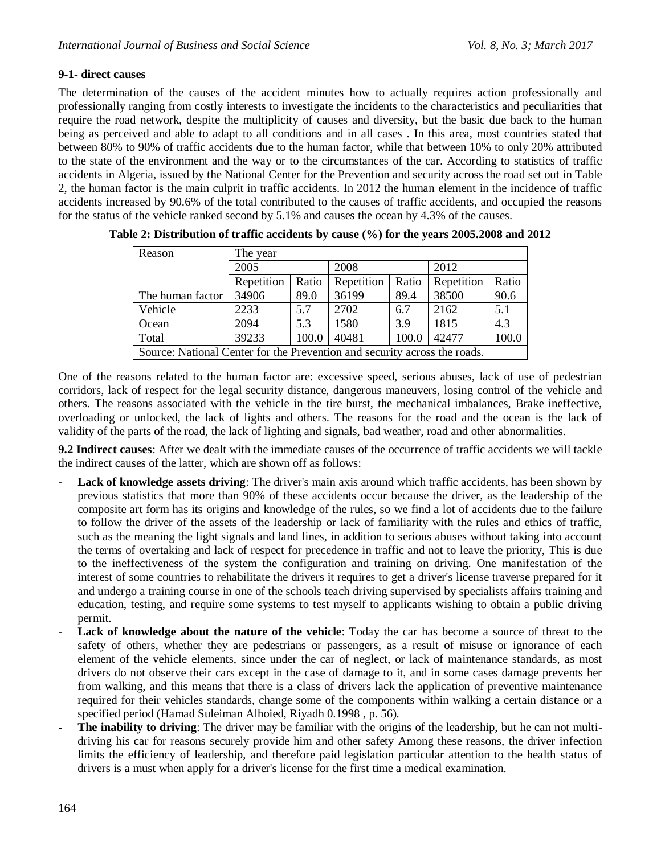## **9-1- direct causes**

The determination of the causes of the accident minutes how to actually requires action professionally and professionally ranging from costly interests to investigate the incidents to the characteristics and peculiarities that require the road network, despite the multiplicity of causes and diversity, but the basic due back to the human being as perceived and able to adapt to all conditions and in all cases . In this area, most countries stated that between 80% to 90% of traffic accidents due to the human factor, while that between 10% to only 20% attributed to the state of the environment and the way or to the circumstances of the car. According to statistics of traffic accidents in Algeria, issued by the National Center for the Prevention and security across the road set out in Table 2, the human factor is the main culprit in traffic accidents. In 2012 the human element in the incidence of traffic accidents increased by 90.6% of the total contributed to the causes of traffic accidents, and occupied the reasons for the status of the vehicle ranked second by 5.1% and causes the ocean by 4.3% of the causes.

| Reason                                                                    | The year   |       |            |       |            |       |
|---------------------------------------------------------------------------|------------|-------|------------|-------|------------|-------|
|                                                                           | 2005       |       | 2008       |       | 2012       |       |
|                                                                           | Repetition | Ratio | Repetition | Ratio | Repetition | Ratio |
| The human factor                                                          | 34906      | 89.0  | 36199      | 89.4  | 38500      | 90.6  |
| Vehicle                                                                   | 2233       | 5.7   | 2702       | 6.7   | 2162       | 5.1   |
| Ocean                                                                     | 2094       | 5.3   | 1580       | 3.9   | 1815       | 4.3   |
| Total                                                                     | 39233      | 100.0 | 40481      | 100.0 | 42477      | 100.0 |
| Source: National Center for the Prevention and security across the roads. |            |       |            |       |            |       |

**Table 2: Distribution of traffic accidents by cause (%) for the years 2005.2008 and 2012**

One of the reasons related to the human factor are: excessive speed, serious abuses, lack of use of pedestrian corridors, lack of respect for the legal security distance, dangerous maneuvers, losing control of the vehicle and others. The reasons associated with the vehicle in the tire burst, the mechanical imbalances, Brake ineffective, overloading or unlocked, the lack of lights and others. The reasons for the road and the ocean is the lack of validity of the parts of the road, the lack of lighting and signals, bad weather, road and other abnormalities.

**9.2 Indirect causes**: After we dealt with the immediate causes of the occurrence of traffic accidents we will tackle the indirect causes of the latter, which are shown off as follows:

- **- Lack of knowledge assets driving**: The driver's main axis around which traffic accidents, has been shown by previous statistics that more than 90% of these accidents occur because the driver, as the leadership of the composite art form has its origins and knowledge of the rules, so we find a lot of accidents due to the failure to follow the driver of the assets of the leadership or lack of familiarity with the rules and ethics of traffic, such as the meaning the light signals and land lines, in addition to serious abuses without taking into account the terms of overtaking and lack of respect for precedence in traffic and not to leave the priority, This is due to the ineffectiveness of the system the configuration and training on driving. One manifestation of the interest of some countries to rehabilitate the drivers it requires to get a driver's license traverse prepared for it and undergo a training course in one of the schools teach driving supervised by specialists affairs training and education, testing, and require some systems to test myself to applicants wishing to obtain a public driving permit.
- Lack of knowledge about the nature of the vehicle: Today the car has become a source of threat to the safety of others, whether they are pedestrians or passengers, as a result of misuse or ignorance of each element of the vehicle elements, since under the car of neglect, or lack of maintenance standards, as most drivers do not observe their cars except in the case of damage to it, and in some cases damage prevents her from walking, and this means that there is a class of drivers lack the application of preventive maintenance required for their vehicles standards, change some of the components within walking a certain distance or a specified period (Hamad Suleiman Alhoied, Riyadh 0.1998 , p. 56).
- **- The inability to driving**: The driver may be familiar with the origins of the leadership, but he can not multidriving his car for reasons securely provide him and other safety Among these reasons, the driver infection limits the efficiency of leadership, and therefore paid legislation particular attention to the health status of drivers is a must when apply for a driver's license for the first time a medical examination.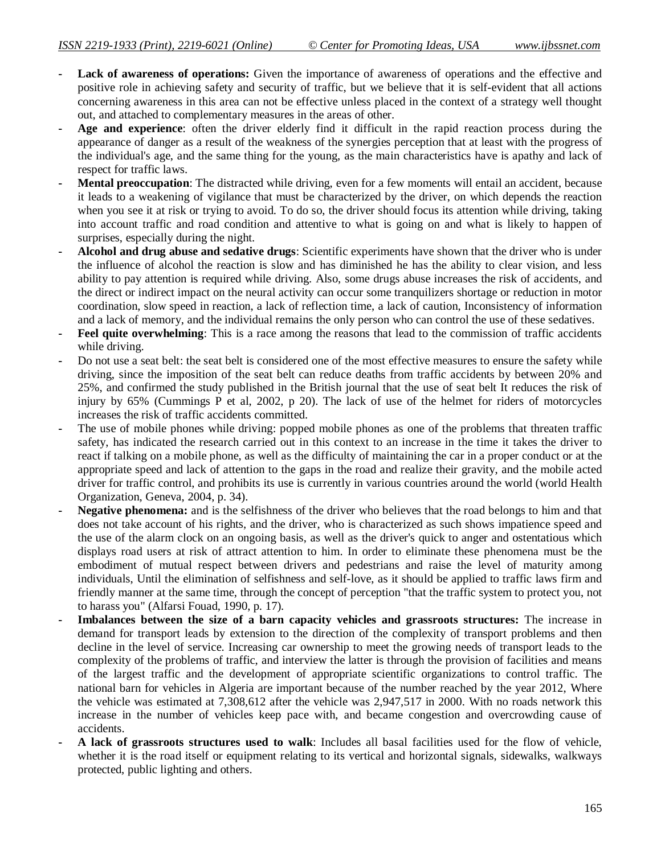- **- Lack of awareness of operations:** Given the importance of awareness of operations and the effective and positive role in achieving safety and security of traffic, but we believe that it is self-evident that all actions concerning awareness in this area can not be effective unless placed in the context of a strategy well thought out, and attached to complementary measures in the areas of other.
- **- Age and experience**: often the driver elderly find it difficult in the rapid reaction process during the appearance of danger as a result of the weakness of the synergies perception that at least with the progress of the individual's age, and the same thing for the young, as the main characteristics have is apathy and lack of respect for traffic laws.
- **- Mental preoccupation**: The distracted while driving, even for a few moments will entail an accident, because it leads to a weakening of vigilance that must be characterized by the driver, on which depends the reaction when you see it at risk or trying to avoid. To do so, the driver should focus its attention while driving, taking into account traffic and road condition and attentive to what is going on and what is likely to happen of surprises, especially during the night.
- **- Alcohol and drug abuse and sedative drugs**: Scientific experiments have shown that the driver who is under the influence of alcohol the reaction is slow and has diminished he has the ability to clear vision, and less ability to pay attention is required while driving. Also, some drugs abuse increases the risk of accidents, and the direct or indirect impact on the neural activity can occur some tranquilizers shortage or reduction in motor coordination, slow speed in reaction, a lack of reflection time, a lack of caution, Inconsistency of information and a lack of memory, and the individual remains the only person who can control the use of these sedatives.
- **- Feel quite overwhelming**: This is a race among the reasons that lead to the commission of traffic accidents while driving.
- **-** Do not use a seat belt: the seat belt is considered one of the most effective measures to ensure the safety while driving, since the imposition of the seat belt can reduce deaths from traffic accidents by between 20% and 25%, and confirmed the study published in the British journal that the use of seat belt It reduces the risk of injury by 65% (Cummings P et al, 2002, p 20). The lack of use of the helmet for riders of motorcycles increases the risk of traffic accidents committed.
- **-** The use of mobile phones while driving: popped mobile phones as one of the problems that threaten traffic safety, has indicated the research carried out in this context to an increase in the time it takes the driver to react if talking on a mobile phone, as well as the difficulty of maintaining the car in a proper conduct or at the appropriate speed and lack of attention to the gaps in the road and realize their gravity, and the mobile acted driver for traffic control, and prohibits its use is currently in various countries around the world (world Health Organization, Geneva, 2004, p. 34).
- **- Negative phenomena:** and is the selfishness of the driver who believes that the road belongs to him and that does not take account of his rights, and the driver, who is characterized as such shows impatience speed and the use of the alarm clock on an ongoing basis, as well as the driver's quick to anger and ostentatious which displays road users at risk of attract attention to him. In order to eliminate these phenomena must be the embodiment of mutual respect between drivers and pedestrians and raise the level of maturity among individuals, Until the elimination of selfishness and self-love, as it should be applied to traffic laws firm and friendly manner at the same time, through the concept of perception "that the traffic system to protect you, not to harass you" (Alfarsi Fouad, 1990, p. 17).
- **- Imbalances between the size of a barn capacity vehicles and grassroots structures:** The increase in demand for transport leads by extension to the direction of the complexity of transport problems and then decline in the level of service. Increasing car ownership to meet the growing needs of transport leads to the complexity of the problems of traffic, and interview the latter is through the provision of facilities and means of the largest traffic and the development of appropriate scientific organizations to control traffic. The national barn for vehicles in Algeria are important because of the number reached by the year 2012, Where the vehicle was estimated at 7,308,612 after the vehicle was 2,947,517 in 2000. With no roads network this increase in the number of vehicles keep pace with, and became congestion and overcrowding cause of accidents.
- **- A lack of grassroots structures used to walk**: Includes all basal facilities used for the flow of vehicle, whether it is the road itself or equipment relating to its vertical and horizontal signals, sidewalks, walkways protected, public lighting and others.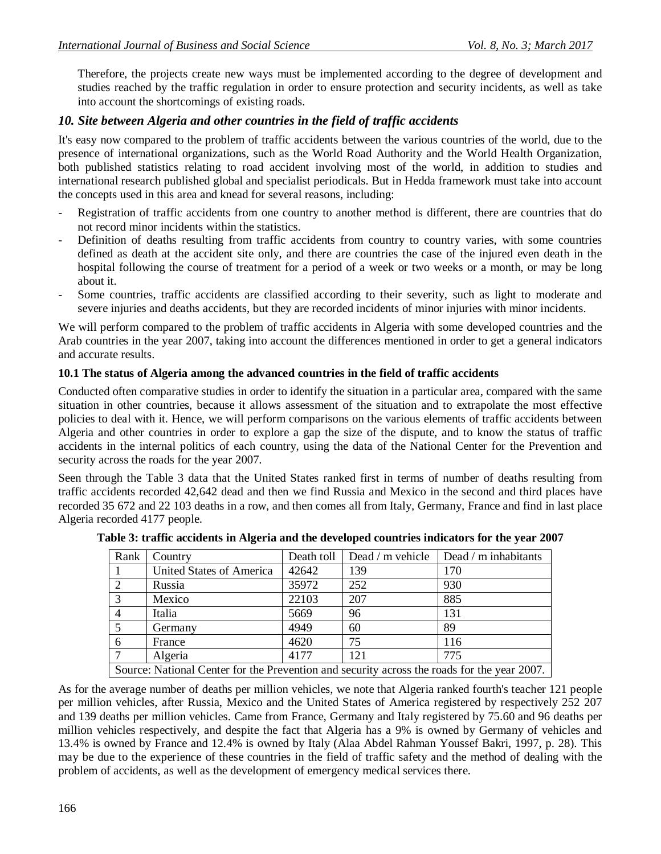Therefore, the projects create new ways must be implemented according to the degree of development and studies reached by the traffic regulation in order to ensure protection and security incidents, as well as take into account the shortcomings of existing roads.

### *10. Site between Algeria and other countries in the field of traffic accidents*

It's easy now compared to the problem of traffic accidents between the various countries of the world, due to the presence of international organizations, such as the World Road Authority and the World Health Organization, both published statistics relating to road accident involving most of the world, in addition to studies and international research published global and specialist periodicals. But in Hedda framework must take into account the concepts used in this area and knead for several reasons, including:

- Registration of traffic accidents from one country to another method is different, there are countries that do not record minor incidents within the statistics.
- Definition of deaths resulting from traffic accidents from country to country varies, with some countries defined as death at the accident site only, and there are countries the case of the injured even death in the hospital following the course of treatment for a period of a week or two weeks or a month, or may be long about it.
- Some countries, traffic accidents are classified according to their severity, such as light to moderate and severe injuries and deaths accidents, but they are recorded incidents of minor injuries with minor incidents.

We will perform compared to the problem of traffic accidents in Algeria with some developed countries and the Arab countries in the year 2007, taking into account the differences mentioned in order to get a general indicators and accurate results.

#### **10.1 The status of Algeria among the advanced countries in the field of traffic accidents**

Conducted often comparative studies in order to identify the situation in a particular area, compared with the same situation in other countries, because it allows assessment of the situation and to extrapolate the most effective policies to deal with it. Hence, we will perform comparisons on the various elements of traffic accidents between Algeria and other countries in order to explore a gap the size of the dispute, and to know the status of traffic accidents in the internal politics of each country, using the data of the National Center for the Prevention and security across the roads for the year 2007.

Seen through the Table 3 data that the United States ranked first in terms of number of deaths resulting from traffic accidents recorded 42,642 dead and then we find Russia and Mexico in the second and third places have recorded 35 672 and 22 103 deaths in a row, and then comes all from Italy, Germany, France and find in last place Algeria recorded 4177 people.

| Rank                                                                                        | Country                  | Death toll | Dead $/$ m vehicle | Dead / m inhabitants |  |  |
|---------------------------------------------------------------------------------------------|--------------------------|------------|--------------------|----------------------|--|--|
|                                                                                             | United States of America | 42642      | 139                | 170                  |  |  |
| 2                                                                                           | Russia                   | 35972      | 252                | 930                  |  |  |
| 3                                                                                           | Mexico                   | 22103      | 207                | 885                  |  |  |
| $\overline{4}$                                                                              | Italia                   | 5669       | 96                 | 131                  |  |  |
|                                                                                             | Germany                  | 4949       | 60                 | 89                   |  |  |
| 6                                                                                           | France                   | 4620       | 75                 | 116                  |  |  |
|                                                                                             | Algeria                  | 4177       | 121                | 775                  |  |  |
| Source: National Center for the Prevention and security across the roads for the year 2007. |                          |            |                    |                      |  |  |

|  |  |  | Table 3: traffic accidents in Algeria and the developed countries indicators for the year 2007 |  |
|--|--|--|------------------------------------------------------------------------------------------------|--|
|--|--|--|------------------------------------------------------------------------------------------------|--|

As for the average number of deaths per million vehicles, we note that Algeria ranked fourth's teacher 121 people per million vehicles, after Russia, Mexico and the United States of America registered by respectively 252 207 and 139 deaths per million vehicles. Came from France, Germany and Italy registered by 75.60 and 96 deaths per million vehicles respectively, and despite the fact that Algeria has a 9% is owned by Germany of vehicles and 13.4% is owned by France and 12.4% is owned by Italy (Alaa Abdel Rahman Youssef Bakri, 1997, p. 28). This may be due to the experience of these countries in the field of traffic safety and the method of dealing with the problem of accidents, as well as the development of emergency medical services there.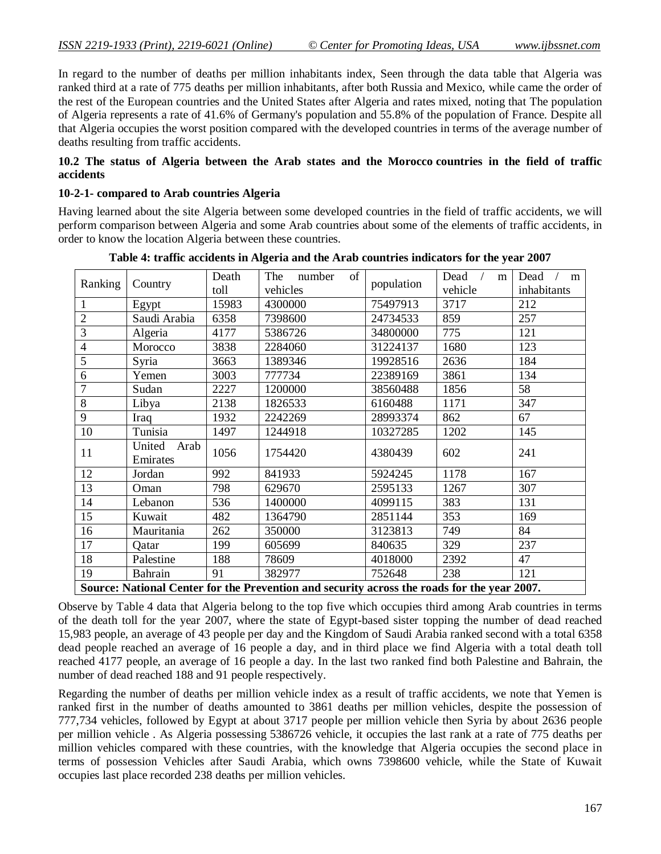In regard to the number of deaths per million inhabitants index, Seen through the data table that Algeria was ranked third at a rate of 775 deaths per million inhabitants, after both Russia and Mexico, while came the order of the rest of the European countries and the United States after Algeria and rates mixed, noting that The population of Algeria represents a rate of 41.6% of Germany's population and 55.8% of the population of France. Despite all that Algeria occupies the worst position compared with the developed countries in terms of the average number of deaths resulting from traffic accidents.

#### **10.2 The status of Algeria between the Arab states and the Morocco countries in the field of traffic accidents**

#### **10-2-1- compared to Arab countries Algeria**

Having learned about the site Algeria between some developed countries in the field of traffic accidents, we will perform comparison between Algeria and some Arab countries about some of the elements of traffic accidents, in order to know the location Algeria between these countries.

| Ranking                                                                                     | Country        | Death | The<br>of<br>number |            | Dead<br>m | Dead<br>m   |
|---------------------------------------------------------------------------------------------|----------------|-------|---------------------|------------|-----------|-------------|
|                                                                                             |                | toll  | vehicles            | population | vehicle   | inhabitants |
| $\mathbf{1}$                                                                                | Egypt          | 15983 | 4300000             | 75497913   | 3717      | 212         |
| $\overline{2}$                                                                              | Saudi Arabia   | 6358  | 7398600             | 24734533   | 859       | 257         |
| 3                                                                                           | Algeria        | 4177  | 5386726             | 34800000   | 775       | 121         |
| $\overline{4}$                                                                              | Morocco        | 3838  | 2284060             | 31224137   | 1680      | 123         |
| 5                                                                                           | Syria          | 3663  | 1389346             | 19928516   | 2636      | 184         |
| 6                                                                                           | Yemen          | 3003  | 777734              | 22389169   | 3861      | 134         |
| $\overline{7}$                                                                              | Sudan          | 2227  | 1200000             | 38560488   | 1856      | 58          |
| 8                                                                                           | Libya          | 2138  | 1826533             | 6160488    | 1171      | 347         |
| 9                                                                                           | Iraq           | 1932  | 2242269             | 28993374   | 862       | 67          |
| 10                                                                                          | Tunisia        | 1497  | 1244918             | 10327285   | 1202      | 145         |
| 11                                                                                          | United<br>Arab | 1056  | 1754420             | 4380439    | 602       | 241         |
|                                                                                             | Emirates       |       |                     |            |           |             |
| 12                                                                                          | Jordan         | 992   | 841933              | 5924245    | 1178      | 167         |
| 13                                                                                          | Oman           | 798   | 629670              | 2595133    | 1267      | 307         |
| 14                                                                                          | Lebanon        | 536   | 1400000             | 4099115    | 383       | 131         |
| 15                                                                                          | Kuwait         | 482   | 1364790             | 2851144    | 353       | 169         |
| 16                                                                                          | Mauritania     | 262   | 350000              | 3123813    | 749       | 84          |
| 17                                                                                          | Qatar          | 199   | 605699              | 840635     | 329       | 237         |
| 18                                                                                          | Palestine      | 188   | 78609               | 4018000    | 2392      | 47          |
| 19                                                                                          | Bahrain        | 91    | 382977              | 752648     | 238       | 121         |
| Source: National Center for the Prevention and security across the roads for the year 2007. |                |       |                     |            |           |             |

**Table 4: traffic accidents in Algeria and the Arab countries indicators for the year 2007**

Observe by Table 4 data that Algeria belong to the top five which occupies third among Arab countries in terms of the death toll for the year 2007, where the state of Egypt-based sister topping the number of dead reached 15,983 people, an average of 43 people per day and the Kingdom of Saudi Arabia ranked second with a total 6358 dead people reached an average of 16 people a day, and in third place we find Algeria with a total death toll reached 4177 people, an average of 16 people a day. In the last two ranked find both Palestine and Bahrain, the number of dead reached 188 and 91 people respectively.

Regarding the number of deaths per million vehicle index as a result of traffic accidents, we note that Yemen is ranked first in the number of deaths amounted to 3861 deaths per million vehicles, despite the possession of 777,734 vehicles, followed by Egypt at about 3717 people per million vehicle then Syria by about 2636 people per million vehicle . As Algeria possessing 5386726 vehicle, it occupies the last rank at a rate of 775 deaths per million vehicles compared with these countries, with the knowledge that Algeria occupies the second place in terms of possession Vehicles after Saudi Arabia, which owns 7398600 vehicle, while the State of Kuwait occupies last place recorded 238 deaths per million vehicles.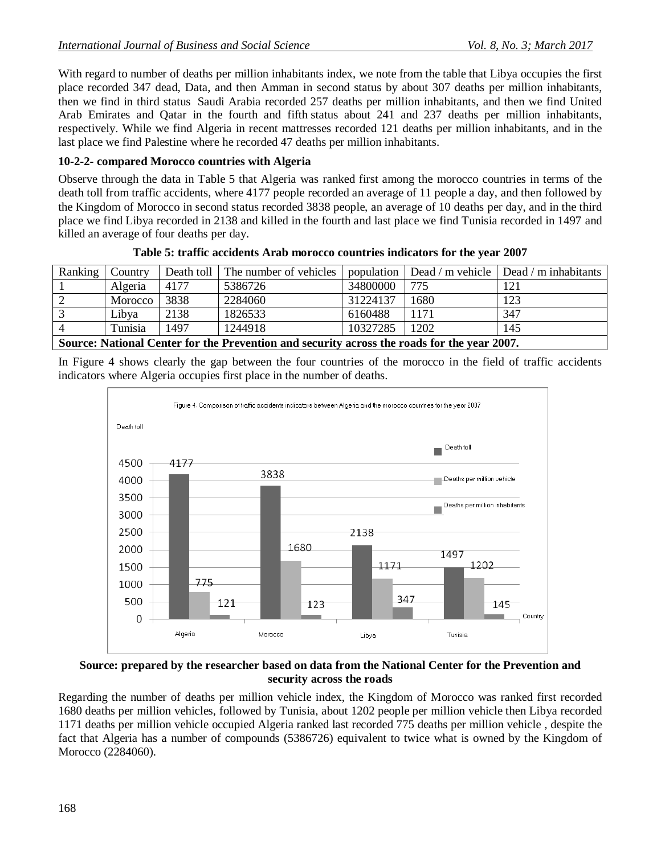With regard to number of deaths per million inhabitants index, we note from the table that Libya occupies the first place recorded 347 dead, Data, and then Amman in second status by about 307 deaths per million inhabitants, then we find in third status Saudi Arabia recorded 257 deaths per million inhabitants, and then we find United Arab Emirates and Qatar in the fourth and fifth status about 241 and 237 deaths per million inhabitants, respectively. While we find Algeria in recent mattresses recorded 121 deaths per million inhabitants, and in the last place we find Palestine where he recorded 47 deaths per million inhabitants.

#### **10-2-2- compared Morocco countries with Algeria**

Observe through the data in Table 5 that Algeria was ranked first among the morocco countries in terms of the death toll from traffic accidents, where 4177 people recorded an average of 11 people a day, and then followed by the Kingdom of Morocco in second status recorded 3838 people, an average of 10 deaths per day, and in the third place we find Libya recorded in 2138 and killed in the fourth and last place we find Tunisia recorded in 1497 and killed an average of four deaths per day.

| Ranking                                                                                     | Country |      | Death toll The number of vehicles |          |      | population $\vert$ Dead / m vehicle $\vert$ Dead / m inhabitants |
|---------------------------------------------------------------------------------------------|---------|------|-----------------------------------|----------|------|------------------------------------------------------------------|
|                                                                                             | Algeria | 4177 | 5386726                           | 34800000 | 775  | 121                                                              |
|                                                                                             | Morocco | 3838 | 2284060                           | 31224137 | 1680 | 123                                                              |
|                                                                                             | Libya   | 2138 | 1826533                           | 6160488  | 1171 | 347                                                              |
|                                                                                             | Tunisia | 1497 | 1244918                           | 10327285 | 1202 | 145                                                              |
| Source: National Center for the Prevention and security across the roads for the year 2007. |         |      |                                   |          |      |                                                                  |

**Table 5: traffic accidents Arab morocco countries indicators for the year 2007**

In Figure 4 shows clearly the gap between the four countries of the morocco in the field of traffic accidents indicators where Algeria occupies first place in the number of deaths.



#### **Source: prepared by the researcher based on data from the National Center for the Prevention and security across the roads**

Regarding the number of deaths per million vehicle index, the Kingdom of Morocco was ranked first recorded 1680 deaths per million vehicles, followed by Tunisia, about 1202 people per million vehicle then Libya recorded 1171 deaths per million vehicle occupied Algeria ranked last recorded 775 deaths per million vehicle , despite the fact that Algeria has a number of compounds (5386726) equivalent to twice what is owned by the Kingdom of Morocco (2284060).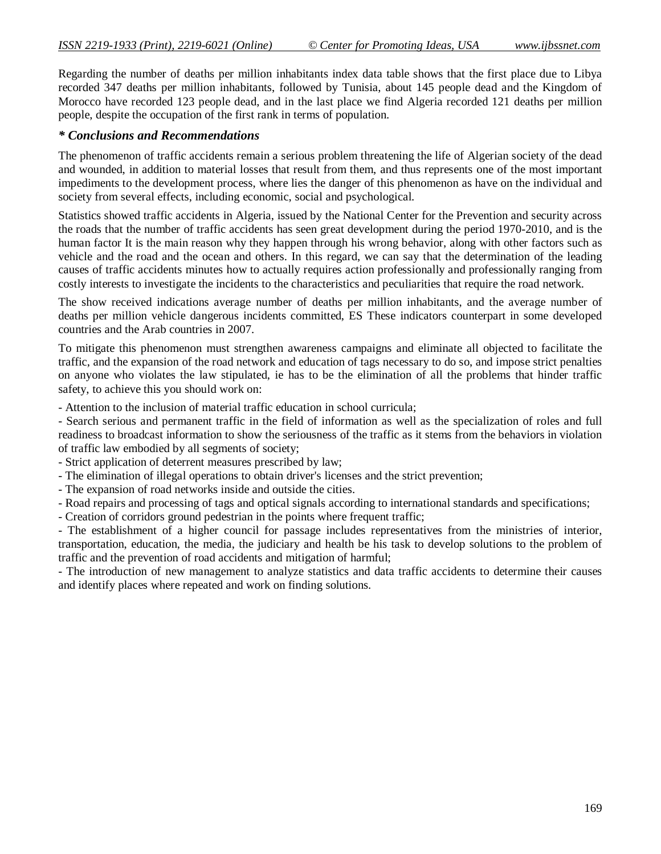Regarding the number of deaths per million inhabitants index data table shows that the first place due to Libya recorded 347 deaths per million inhabitants, followed by Tunisia, about 145 people dead and the Kingdom of Morocco have recorded 123 people dead, and in the last place we find Algeria recorded 121 deaths per million people, despite the occupation of the first rank in terms of population.

#### *\* Conclusions and Recommendations*

The phenomenon of traffic accidents remain a serious problem threatening the life of Algerian society of the dead and wounded, in addition to material losses that result from them, and thus represents one of the most important impediments to the development process, where lies the danger of this phenomenon as have on the individual and society from several effects, including economic, social and psychological.

Statistics showed traffic accidents in Algeria, issued by the National Center for the Prevention and security across the roads that the number of traffic accidents has seen great development during the period 1970-2010, and is the human factor It is the main reason why they happen through his wrong behavior, along with other factors such as vehicle and the road and the ocean and others. In this regard, we can say that the determination of the leading causes of traffic accidents minutes how to actually requires action professionally and professionally ranging from costly interests to investigate the incidents to the characteristics and peculiarities that require the road network.

The show received indications average number of deaths per million inhabitants, and the average number of deaths per million vehicle dangerous incidents committed, ES These indicators counterpart in some developed countries and the Arab countries in 2007.

To mitigate this phenomenon must strengthen awareness campaigns and eliminate all objected to facilitate the traffic, and the expansion of the road network and education of tags necessary to do so, and impose strict penalties on anyone who violates the law stipulated, ie has to be the elimination of all the problems that hinder traffic safety, to achieve this you should work on:

- Attention to the inclusion of material traffic education in school curricula;

- Search serious and permanent traffic in the field of information as well as the specialization of roles and full readiness to broadcast information to show the seriousness of the traffic as it stems from the behaviors in violation of traffic law embodied by all segments of society;

- Strict application of deterrent measures prescribed by law;

- The elimination of illegal operations to obtain driver's licenses and the strict prevention;

- The expansion of road networks inside and outside the cities.

- Road repairs and processing of tags and optical signals according to international standards and specifications;

- Creation of corridors ground pedestrian in the points where frequent traffic;

- The establishment of a higher council for passage includes representatives from the ministries of interior, transportation, education, the media, the judiciary and health be his task to develop solutions to the problem of traffic and the prevention of road accidents and mitigation of harmful;

- The introduction of new management to analyze statistics and data traffic accidents to determine their causes and identify places where repeated and work on finding solutions.